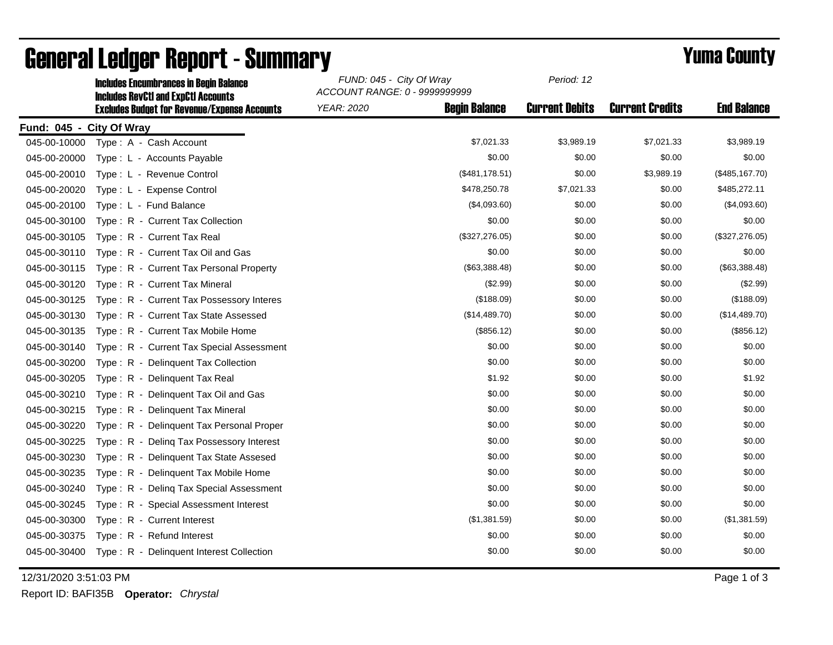|                          | <b>Includes Encumbrances in Begin Balance</b>                                                     | FUND: 045 - City Of Wray<br>ACCOUNT RANGE: 0 - 9999999999 | Period: 12            |                        |                    |
|--------------------------|---------------------------------------------------------------------------------------------------|-----------------------------------------------------------|-----------------------|------------------------|--------------------|
|                          | <b>Includes RevCtI and ExpCtI Accounts</b><br><b>Excludes Budget for Revenue/Expense Accounts</b> | <b>YEAR: 2020</b><br><b>Begin Balance</b>                 | <b>Current Debits</b> | <b>Current Credits</b> | <b>End Balance</b> |
| Fund: 045 - City Of Wray |                                                                                                   |                                                           |                       |                        |                    |
| 045-00-10000             | Type: A - Cash Account                                                                            | \$7,021.33                                                | \$3,989.19            | \$7,021.33             | \$3,989.19         |
| 045-00-20000             | Type: L - Accounts Payable                                                                        | \$0.00                                                    | \$0.00                | \$0.00                 | \$0.00             |
| 045-00-20010             | Type: L - Revenue Control                                                                         | (\$481,178.51)                                            | \$0.00                | \$3,989.19             | (\$485, 167.70)    |
| 045-00-20020             | Type: L - Expense Control                                                                         | \$478,250.78                                              | \$7,021.33            | \$0.00                 | \$485,272.11       |
| 045-00-20100             | Type: L - Fund Balance                                                                            | (\$4,093.60)                                              | \$0.00                | \$0.00                 | (\$4,093.60)       |
| 045-00-30100             | Type: R - Current Tax Collection                                                                  | \$0.00                                                    | \$0.00                | \$0.00                 | \$0.00             |
| 045-00-30105             | Type: R - Current Tax Real                                                                        | (\$327,276.05)                                            | \$0.00                | \$0.00                 | (\$327,276.05)     |
| 045-00-30110             | Type: R - Current Tax Oil and Gas                                                                 | \$0.00                                                    | \$0.00                | \$0.00                 | \$0.00             |
| 045-00-30115             | Type: R - Current Tax Personal Property                                                           | (\$63,388.48)                                             | \$0.00                | \$0.00                 | (\$63,388.48)      |
| 045-00-30120             | Type: R - Current Tax Mineral                                                                     | (\$2.99)                                                  | \$0.00                | \$0.00                 | (\$2.99)           |
| 045-00-30125             | Type: R - Current Tax Possessory Interes                                                          | (\$188.09)                                                | \$0.00                | \$0.00                 | (\$188.09)         |
| 045-00-30130             | Type: R - Current Tax State Assessed                                                              | (\$14,489.70)                                             | \$0.00                | \$0.00                 | (\$14,489.70)      |
| 045-00-30135             | Type: R - Current Tax Mobile Home                                                                 | (\$856.12)                                                | \$0.00                | \$0.00                 | (\$856.12)         |
| 045-00-30140             | Type: R - Current Tax Special Assessment                                                          | \$0.00                                                    | \$0.00                | \$0.00                 | \$0.00             |
| 045-00-30200             | Type: R - Delinquent Tax Collection                                                               | \$0.00                                                    | \$0.00                | \$0.00                 | \$0.00             |
| 045-00-30205             | Type: R - Delinquent Tax Real                                                                     | \$1.92                                                    | \$0.00                | \$0.00                 | \$1.92             |
| 045-00-30210             | Type: R - Delinquent Tax Oil and Gas                                                              | \$0.00                                                    | \$0.00                | \$0.00                 | \$0.00             |
| 045-00-30215             | Type: R - Delinguent Tax Mineral                                                                  | \$0.00                                                    | \$0.00                | \$0.00                 | \$0.00             |
| 045-00-30220             | Type: R - Delinguent Tax Personal Proper                                                          | \$0.00                                                    | \$0.00                | \$0.00                 | \$0.00             |
| 045-00-30225             | Type: R - Deling Tax Possessory Interest                                                          | \$0.00                                                    | \$0.00                | \$0.00                 | \$0.00             |
| 045-00-30230             | Type: R - Delinquent Tax State Assesed                                                            | \$0.00                                                    | \$0.00                | \$0.00                 | \$0.00             |
| 045-00-30235             | Type: R - Delinquent Tax Mobile Home                                                              | \$0.00                                                    | \$0.00                | \$0.00                 | \$0.00             |
| 045-00-30240             | Type: R - Deling Tax Special Assessment                                                           | \$0.00                                                    | \$0.00                | \$0.00                 | \$0.00             |
| 045-00-30245             | Type: R - Special Assessment Interest                                                             | \$0.00                                                    | \$0.00                | \$0.00                 | \$0.00             |
| 045-00-30300             | Type: R - Current Interest                                                                        | (\$1,381.59)                                              | \$0.00                | \$0.00                 | (\$1,381.59)       |
| 045-00-30375             | Type: R - Refund Interest                                                                         | \$0.00                                                    | \$0.00                | \$0.00                 | \$0.00             |
| 045-00-30400             | Type: R - Delinquent Interest Collection                                                          | \$0.00                                                    | \$0.00                | \$0.00                 | \$0.00             |

## General Ledger Report - Summary<br>
FUND: 045 - City Of Wray Period: 12<br>
Period: 12

12/31/2020 3:51:03 PM Page 1 of 3

Report ID: BAFI35B **Operator:** *Chrystal*

*Period: 12*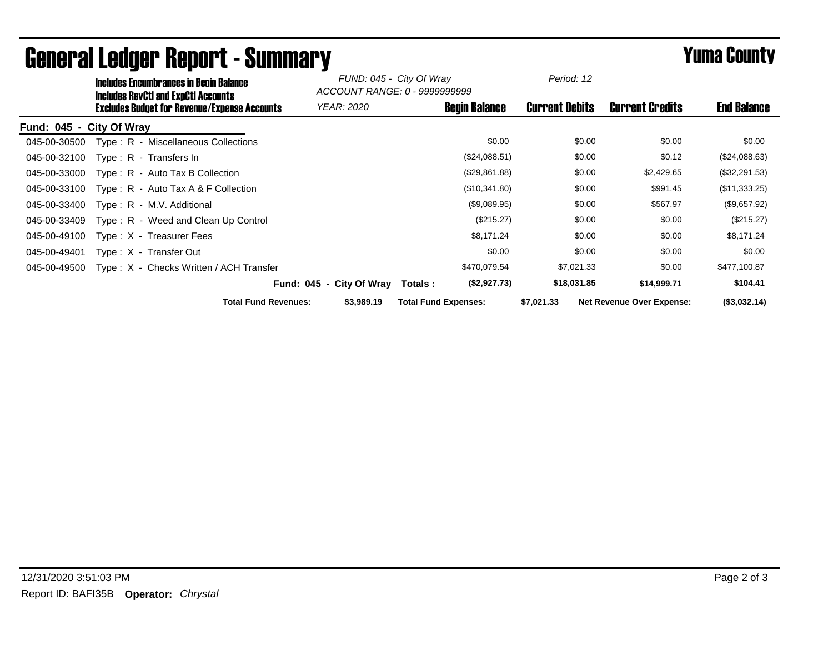| <b>Includes RevCtI and ExpCtI Accounts</b>        | <b>Includes Encumbrances in Begin Balance</b>       | FUND: 045 - City Of Wray<br>ACCOUNT RANGE: 0 - 9999999999 |                             | Period: 12            |                                  |                    |
|---------------------------------------------------|-----------------------------------------------------|-----------------------------------------------------------|-----------------------------|-----------------------|----------------------------------|--------------------|
|                                                   | <b>Excludes Budget for Revenue/Expense Accounts</b> | <b>YEAR: 2020</b>                                         | <b>Begin Balance</b>        | <b>Current Debits</b> | <b>Current Credits</b>           | <b>End Balance</b> |
| Fund: 045 - City Of Wray                          |                                                     |                                                           |                             |                       |                                  |                    |
| 045-00-30500                                      | Type: R - Miscellaneous Collections                 |                                                           | \$0.00                      | \$0.00                | \$0.00                           | \$0.00             |
| 045-00-32100<br>$Type: R - Transfers In$          |                                                     |                                                           | (\$24,088.51)               | \$0.00                | \$0.12                           | (\$24,088.63)      |
| 045-00-33000<br>$Type: R - Auto Tax B Collection$ |                                                     |                                                           | (\$29,861.88)               | \$0.00                | \$2,429.65                       | (\$32,291.53)      |
| 045-00-33100                                      | Type: $R -$ Auto Tax A & F Collection               |                                                           | (\$10,341.80)               | \$0.00                | \$991.45                         | (\$11,333.25)      |
| 045-00-33400<br>Type: R - M.V. Additional         |                                                     |                                                           | (\$9,089.95)                | \$0.00                | \$567.97                         | (\$9,657.92)       |
| 045-00-33409                                      | Type: R - Weed and Clean Up Control                 |                                                           | (\$215.27)                  | \$0.00                | \$0.00                           | (\$215.27)         |
| 045-00-49100<br>Type: X - Treasurer Fees          |                                                     |                                                           | \$8,171.24                  | \$0.00                | \$0.00                           | \$8,171.24         |
| 045-00-49401<br>Type: X - Transfer Out            |                                                     |                                                           | \$0.00                      | \$0.00                | \$0.00                           | \$0.00             |
| 045-00-49500                                      | Type: X - Checks Written / ACH Transfer             |                                                           | \$470,079.54                | \$7,021.33            | \$0.00                           | \$477,100.87       |
|                                                   |                                                     | Fund: 045 - City Of Wray                                  | (\$2,927.73)<br>Totals:     | \$18,031.85           | \$14,999.71                      | \$104.41           |
|                                                   | <b>Total Fund Revenues:</b>                         | \$3,989.19                                                | <b>Total Fund Expenses:</b> | \$7,021.33            | <b>Net Revenue Over Expense:</b> | (\$3,032.14)       |

## General Ledger Report - Summary **Elingers County Report - Summary**